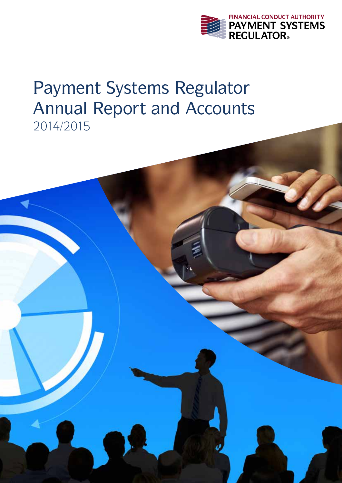

## **Payment Systems Regulator Annual Report and Acc** 2014/2015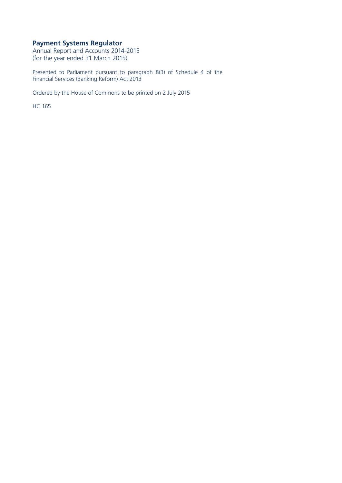## **Payment Systems Regulator**

Annual Report and Accounts 2014-2015 (for the year ended 31 March 2015)

Presented to Parliament pursuant to paragraph 8(3) of Schedule 4 of the Financial Services (Banking Reform) Act 2013

Ordered by the House of Commons to be printed on 2 July 2015

HC 165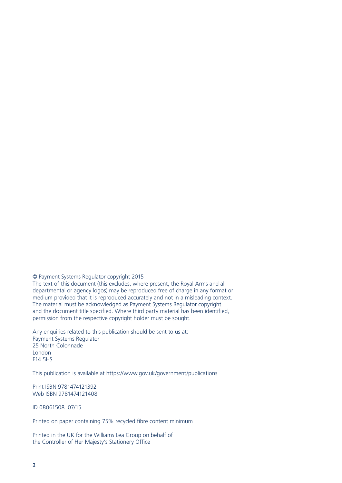© Payment Systems Regulator copyright 2015

The text of this document (this excludes, where present, the Royal Arms and all departmental or agency logos) may be reproduced free of charge in any format or medium provided that it is reproduced accurately and not in a misleading context. The material must be acknowledged as Payment Systems Regulator copyright and the document title specified. Where third party material has been identified, permission from the respective copyright holder must be sought.

Any enquiries related to this publication should be sent to us at: Payment Systems Regulator 25 North Colonnade London E14 5HS

This publication is available at https://www.gov.uk/government/publications

Print ISBN 9781474121392 Web ISBN 9781474121408

ID 08061508 07/15

Printed on paper containing 75% recycled fibre content minimum

Printed in the UK for the Williams Lea Group on behalf of the Controller of Her Majesty's Stationery Office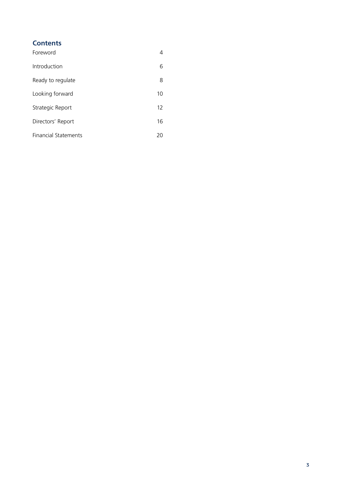## **Contents**

| Foreword                    | 4  |
|-----------------------------|----|
| Introduction                | 6  |
| Ready to regulate           | 8  |
| Looking forward             | 10 |
| Strategic Report            | 12 |
| Directors' Report           | 16 |
| <b>Financial Statements</b> | 20 |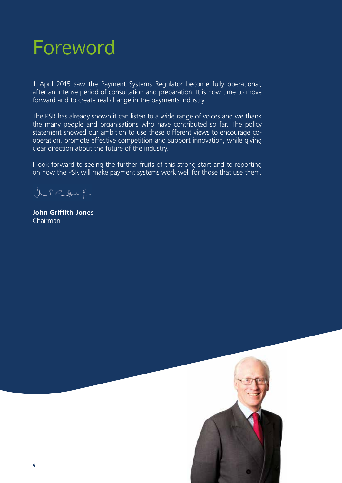# Foreword

1 April 2015 saw the Payment Systems Regulator become fully operational, after an intense period of consultation and preparation. It is now time to move forward and to create real change in the payments industry.

The PSR has already shown it can listen to a wide range of voices and we thank the many people and organisations who have contributed so far. The policy statement showed our ambition to use these different views to encourage cooperation, promote effective competition and support innovation, while giving clear direction about the future of the industry.

I look forward to seeing the further fruits of this strong start and to reporting on how the PSR will make payment systems work well for those that use them.

ILS a thur for

**John Griffith-Jones** Chairman

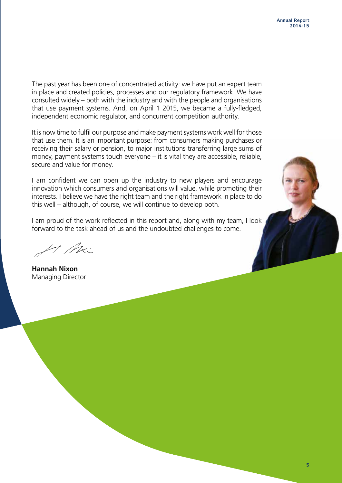The past year has been one of concentrated activity: we have put an expert team in place and created policies, processes and our regulatory framework. We have consulted widely – both with the industry and with the people and organisations that use payment systems. And, on April 1 2015, we became a fully-fledged, independent economic regulator, and concurrent competition authority.

It is now time to fulfil our purpose and make payment systems work well for those that use them. It is an important purpose: from consumers making purchases or receiving their salary or pension, to major institutions transferring large sums of money, payment systems touch everyone – it is vital they are accessible, reliable, secure and value for money.

I am confident we can open up the industry to new players and encourage innovation which consumers and organisations will value, while promoting their interests. I believe we have the right team and the right framework in place to do this well – although, of course, we will continue to develop both.

I am proud of the work reflected in this report and, along with my team, I look forward to the task ahead of us and the undoubted challenges to come.

 $\rightarrow$  Mx.

**Hannah Nixon** Managing Director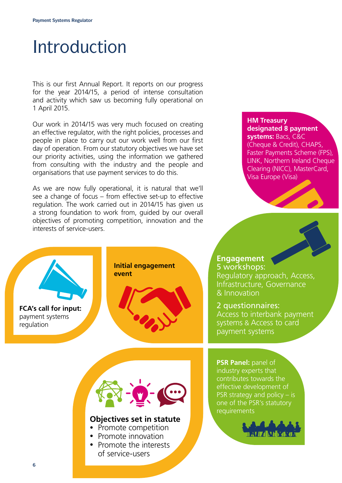# Introduction

This is our first Annual Report. It reports on our progress for the year 2014/15, a period of intense consultation and activity which saw us becoming fully operational on 1 April 2015.

Our work in 2014/15 was very much focused on creating an effective regulator, with the right policies, processes and people in place to carry out our work well from our first day of operation. From our statutory objectives we have set our priority activities, using the information we gathered from consulting with the industry and the people and organisations that use payment services to do this.

As we are now fully operational, it is natural that we'll see a change of focus – from effective set-up to effective regulation. The work carried out in 2014/15 has given us a strong foundation to work from, guided by our overall objectives of promoting competition, innovation and the interests of service-users.

## **HM Treasury designated 8 payment systems:** Bacs, C&C (Cheque & Credit), CHAPS, Faster Payments Scheme (FPS), LINK, Northern Ireland Cheque Clearing (NICC), MasterCard,

Visa Europe (Visa)

**Engagement Initial engagement**  5 workshops: **event** Regulatory approach, Access, Infrastructure, Governance & Innovation 2 questionnaires: **FCA's call for input:** Access to interbank payment payment systems systems & Access to card regulation payment systems **PSR Panel:** panel of industry experts that contributes towards the effective development of PSR strategy and policy – is one of the PSR's statutory requirements **Objectives set in statute** • Promote competition EAV**IVAR**NA<mark>I</mark>NAICAEN • Promote innovation • Promote the interests of service-users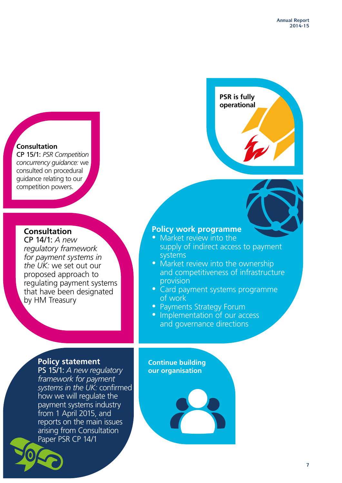## **Consultation**

CP 15/1: *PSR Competition concurrency guidance:* we consulted on procedural guidance relating to our competition powers.

## **Consultation**

CP 14/1: *A new regulatory framework for payment systems in the UK:* we set out our proposed approach to regulating payment systems that have been designated by HM Treasury

## **Policy work programme**

• Market review into the supply of indirect access to payment systems

**PSR is fully operational**

- Market review into the ownership and competitiveness of infrastructure provision
- Card payment systems programme of work
- Payments Strategy Forum

**Continue building our organisation**

• Implementation of our access and governance directions

## **Policy statement**

PS 15/1: *A new regulatory framework for payment systems in the UK:* confirmed how we will regulate the payment systems industry from 1 April 2015, and reports on the main issues arising from Consultation Paper PSR CP 14/1

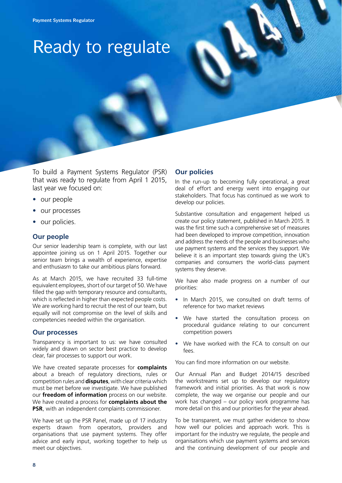# Ready to regulate

To build a Payment Systems Regulator (PSR) that was ready to regulate from April 1 2015, last year we focused on:

- our people
- our processes
- our policies.

#### **Our people**

Our senior leadership team is complete, with our last appointee joining us on 1 April 2015. Together our senior team brings a wealth of experience, expertise and enthusiasm to take our ambitious plans forward.

As at March 2015, we have recruited 33 full-time equivalent employees, short of our target of 50. We have filled the gap with temporary resource and consultants, which is reflected in higher than expected people costs. We are working hard to recruit the rest of our team, but equally will not compromise on the level of skills and competencies needed within the organisation.

#### **Our processes**

Transparency is important to us: we have consulted widely and drawn on sector best practice to develop clear, fair processes to support our work.

We have created separate processes for **complaints** about a breach of regulatory directions, rules or competition rules and **disputes**, with clear criteria which must be met before we investigate. We have published our **freedom of information** process on our website. We have created a process for **complaints about the PSR**, with an independent complaints commissioner.

We have set up the PSR Panel, made up of 17 industry experts drawn from operators, providers and organisations that use payment systems. They offer advice and early input, working together to help us meet our objectives.

#### **Our policies**

In the run-up to becoming fully operational, a great deal of effort and energy went into engaging our stakeholders. That focus has continued as we work to develop our policies.

Substantive consultation and engagement helped us create our policy statement, published in March 2015. It was the first time such a comprehensive set of measures had been developed to improve competition, innovation and address the needs of the people and businesses who use payment systems and the services they support. We believe it is an important step towards giving the UK's companies and consumers the world-class payment systems they deserve.

We have also made progress on a number of our priorities:

- In March 2015, we consulted on draft terms of reference for two market reviews
- We have started the consultation process on procedural guidance relating to our concurrent competition powers
- We have worked with the FCA to consult on our fees.

You can find more information on our website.

Our Annual Plan and Budget 2014/15 described the workstreams set up to develop our regulatory framework and initial priorities. As that work is now complete, the way we organise our people and our work has changed – our policy work programme has more detail on this and our priorities for the year ahead.

To be transparent, we must gather evidence to show how well our policies and approach work. This is important for the industry we regulate, the people and organisations which use payment systems and services and the continuing development of our people and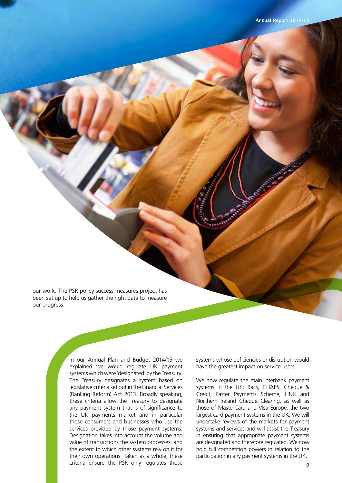our work. The PSR policy success measures project has been set up to help us gather the right data to measure our progress.

> In our Annual Plan and Budget 2014/15 we explained we would regulate UK payment systems which were 'designated' by the Treasury. The Treasury designates a system based on legislative criteria set out in the Financial Services (Banking Reform) Act 2013. Broadly speaking, these criteria allow the Treasury to designate any payment system that is of significance to the UK payments market and in particular those consumers and businesses who use the services provided by those payment systems. Designation takes into account the volume and value of transactions the system processes, and the extent to which other systems rely on it for their own operations. Taken as a whole, these criteria ensure the PSR only regulates those **<sup>9</sup>**

systems whose deficiencies or disruption would have the greatest impact on service users.

We now regulate the main interbank payment systems in the UK: Bacs, CHAPS, Cheque & Credit, Faster Payments Scheme, LINK and Northern Ireland Cheque Clearing, as well as those of MasterCard and Visa Europe, the two largest card payment systems in the UK. We will undertake reviews of the markets for payment systems and services and will assist the Treasury in ensuring that appropriate payment systems are designated and therefore regulated. We now hold full competition powers in relation to the participation in any payment systems in the UK.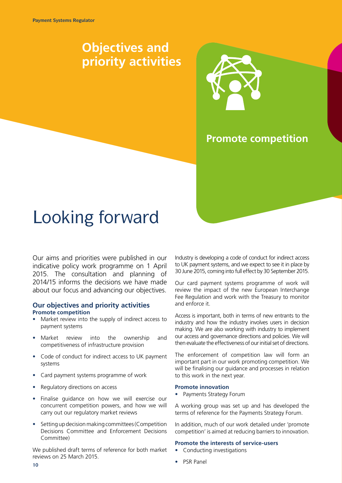## **Objectives and priority activities**



## **Promote competition**

# Looking forward

Our aims and priorities were published in our indicative policy work programme on 1 April 2015. The consultation and planning of 2014/15 informs the decisions we have made about our focus and advancing our objectives.

#### **Our objectives and priority activities Promote competition**

- Market review into the supply of indirect access to payment systems
- Market review into the ownership and competitiveness of infrastructure provision
- Code of conduct for indirect access to UK payment systems
- Card payment systems programme of work
- Regulatory directions on access
- Finalise guidance on how we will exercise our concurrent competition powers, and how we will carry out our regulatory market reviews
- Setting up decision making committees (Competition Decisions Committee and Enforcement Decisions Committee)

We published draft terms of reference for both market reviews on 25 March 2015.

Industry is developing a code of conduct for indirect access to UK payment systems, and we expect to see it in place by 30 June 2015, coming into full effect by 30 September 2015.

Our card payment systems programme of work will review the impact of the new European Interchange Fee Regulation and work with the Treasury to monitor and enforce it.

Access is important, both in terms of new entrants to the industry and how the industry involves users in decision making. We are also working with industry to implement our access and governance directions and policies. We will then evaluate the effectiveness of our initial set of directions.

The enforcement of competition law will form an important part in our work promoting competition. We will be finalising our guidance and processes in relation to this work in the next year.

#### **Promote innovation**

#### • Payments Strategy Forum

A working group was set up and has developed the terms of reference for the Payments Strategy Forum.

In addition, much of our work detailed under 'promote competition' is aimed at reducing barriers to innovation.

#### **Promote the interests of service-users**

- Conducting investigations
- PSR Panel

**10**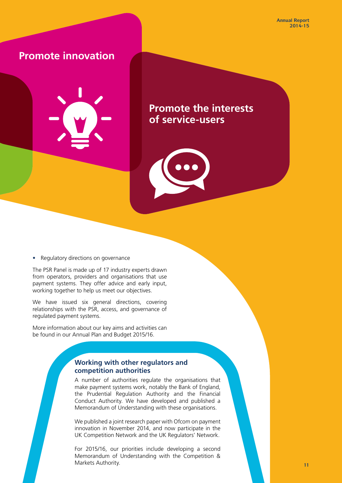**Annual Report 2014-15**

## **Promote innovation**

## **Promote the interests of service-users**

• Regulatory directions on governance

The PSR Panel is made up of 17 industry experts drawn from operators, providers and organisations that use payment systems. They offer advice and early input, working together to help us meet our objectives.

We have issued six general directions, covering relationships with the PSR, access, and governance of regulated payment systems.

More information about our key aims and activities can be found in our Annual Plan and Budget 2015/16.

### **Working with other regulators and competition authorities**

A number of authorities regulate the organisations that make payment systems work, notably the Bank of England, the Prudential Regulation Authority and the Financial Conduct Authority. We have developed and published a Memorandum of Understanding with these organisations.

We published a joint research paper with Ofcom on payment innovation in November 2014, and now participate in the UK Competition Network and the UK Regulators' Network.

For 2015/16, our priorities include developing a second Memorandum of Understanding with the Competition & Markets Authority. **<sup>11</sup>**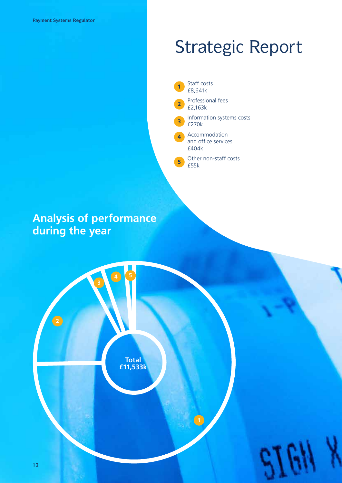# Strategic Report



## **Analysis of performance during the year**



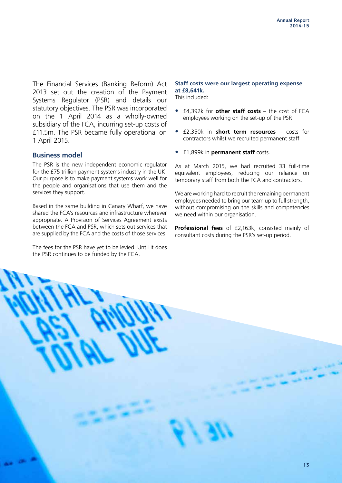The Financial Services (Banking Reform) Act 2013 set out the creation of the Payment Systems Regulator (PSR) and details our statutory objectives. The PSR was incorporated on the 1 April 2014 as a wholly-owned subsidiary of the FCA, incurring set-up costs of £11.5m. The PSR became fully operational on 1 April 2015.

### **Business model**

The PSR is the new independent economic regulator for the £75 trillion payment systems industry in the UK. Our purpose is to make payment systems work well for the people and organisations that use them and the services they support.

Based in the same building in Canary Wharf, we have shared the FCA's resources and infrastructure wherever appropriate. A Provision of Services Agreement exists between the FCA and PSR, which sets out services that are supplied by the FCA and the costs of those services.

The fees for the PSR have yet to be levied. Until it does the PSR continues to be funded by the FCA.

#### **Staff costs were our largest operating expense at £8,641k.**  This included:

- £4,392k for **other staff costs** the cost of FCA employees working on the set-up of the PSR
- £2,350k in **short term resources** costs for contractors whilst we recruited permanent staff
- £1,899k in **permanent staff** costs.

As at March 2015, we had recruited 33 full-time equivalent employees, reducing our reliance on temporary staff from both the FCA and contractors.

We are working hard to recruit the remaining permanent employees needed to bring our team up to full strength, without compromising on the skills and competencies we need within our organisation.

**Professional fees** of £2,163k, consisted mainly of consultant costs during the PSR's set-up period.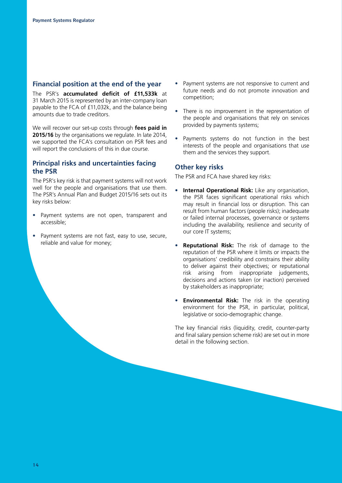#### **Financial position at the end of the year**

The PSR's **accumulated deficit of £11,533k** at 31 March 2015 is represented by an inter-company loan payable to the FCA of £11,032k, and the balance being amounts due to trade creditors.

We will recover our set-up costs through **fees paid in 2015/16** by the organisations we regulate. In late 2014, we supported the FCA's consultation on PSR fees and will report the conclusions of this in due course.

### **Principal risks and uncertainties facing the PSR**

The PSR's key risk is that payment systems will not work well for the people and organisations that use them. The PSR's Annual Plan and Budget 2015/16 sets out its key risks below:

- Payment systems are not open, transparent and accessible;
- Payment systems are not fast, easy to use, secure, reliable and value for money;
- Payment systems are not responsive to current and future needs and do not promote innovation and competition;
- There is no improvement in the representation of the people and organisations that rely on services provided by payments systems;
- Payments systems do not function in the best interests of the people and organisations that use them and the services they support.

#### **Other key risks**

The PSR and FCA have shared key risks:

- **Internal Operational Risk:** Like any organisation, the PSR faces significant operational risks which may result in financial loss or disruption. This can result from human factors (people risks); inadequate or failed internal processes, governance or systems including the availability, resilience and security of our core IT systems;
- **Reputational Risk:** The risk of damage to the reputation of the PSR where it limits or impacts the organisations' credibility and constrains their ability to deliver against their objectives; or reputational risk arising from inappropriate judgements, decisions and actions taken (or inaction) perceived by stakeholders as inappropriate;
- **Environmental Risk:** The risk in the operating environment for the PSR, in particular, political, legislative or socio-demographic change.

The key financial risks (liquidity, credit, counter-party and final salary pension scheme risk) are set out in more detail in the following section.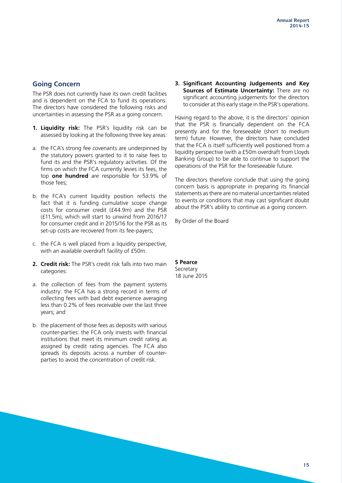### **Going Concern**

The PSR does not currently have its own credit facilities and is dependent on the FCA to fund its operations. The directors have considered the following risks and uncertainties in assessing the PSR as a going concern.

- **1. Liquidity risk:** The PSR's liquidity risk can be assessed by looking at the following three key areas:
- a. the FCA's strong fee covenants are underpinned by the statutory powers granted to it to raise fees to fund its and the PSR's regulatory activities. Of the firms on which the FCA currently levies its fees, the top **one hundred** are responsible for 53.9% of those fees;
- b. the FCA's current liquidity position reflects the fact that it is funding cumulative scope change costs for consumer credit (£44.9m) and the PSR (£11.5m), which will start to unwind from 2016/17 for consumer credit and in 2015/16 for the PSR as its set-up costs are recovered from its fee-payers;
- c. the FCA is well placed from a liquidity perspective, with an available overdraft facility of £50m.
- **2. Credit risk:** The PSR's credit risk falls into two main categories:
- a. the collection of fees from the payment systems industry: the FCA has a strong record in terms of collecting fees with bad debt experience averaging less than 0.2% of fees receivable over the last three years; and
- b. the placement of those fees as deposits with various counter-parties: the FCA only invests with financial institutions that meet its minimum credit rating as assigned by credit rating agencies. The FCA also spreads its deposits across a number of counterparties to avoid the concentration of credit risk.

**3. Significant Accounting Judgements and Key Sources of Estimate Uncertainty:** There are no significant accounting judgements for the directors to consider at this early stage in the PSR's operations.

Having regard to the above, it is the directors' opinion that the PSR is financially dependent on the FCA presently and for the foreseeable (short to medium term) future. However, the directors have concluded that the FCA is itself sufficiently well positioned from a liquidity perspective (with a £50m overdraft from Lloyds Banking Group) to be able to continue to support the operations of the PSR for the foreseeable future.

The directors therefore conclude that using the going concern basis is appropriate in preparing its financial statements as there are no material uncertainties related to events or conditions that may cast significant doubt about the PSR's ability to continue as a going concern.

By Order of the Board

**S Pearce** Secretary 18 June 2015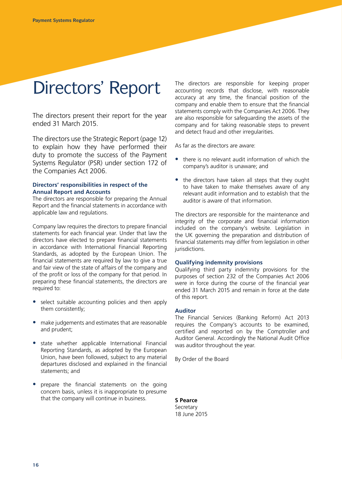# Directors' Report

The directors present their report for the year ended 31 March 2015.

The directors use the Strategic Report (page 12) to explain how they have performed their duty to promote the success of the Payment Systems Regulator (PSR) under section 172 of the Companies Act 2006.

#### **Directors' responsibilities in respect of the Annual Report and Accounts**

The directors are responsible for preparing the Annual Report and the financial statements in accordance with applicable law and regulations.

Company law requires the directors to prepare financial statements for each financial year. Under that law the directors have elected to prepare financial statements in accordance with International Financial Reporting Standards, as adopted by the European Union. The financial statements are required by law to give a true and fair view of the state of affairs of the company and of the profit or loss of the company for that period. In preparing these financial statements, the directors are required to:

- select suitable accounting policies and then apply them consistently;
- make judgements and estimates that are reasonable and prudent;
- state whether applicable International Financial Reporting Standards, as adopted by the European Union, have been followed, subject to any material departures disclosed and explained in the financial statements; and
- prepare the financial statements on the going concern basis, unless it is inappropriate to presume that the company will continue in business.

The directors are responsible for keeping proper accounting records that disclose, with reasonable accuracy at any time, the financial position of the company and enable them to ensure that the financial statements comply with the Companies Act 2006. They are also responsible for safeguarding the assets of the company and for taking reasonable steps to prevent and detect fraud and other irregularities.

As far as the directors are aware:

- there is no relevant audit information of which the company's auditor is unaware; and
- the directors have taken all steps that they ought to have taken to make themselves aware of any relevant audit information and to establish that the auditor is aware of that information.

The directors are responsible for the maintenance and integrity of the corporate and financial information included on the company's website. Legislation in the UK governing the preparation and distribution of financial statements may differ from legislation in other jurisdictions.

#### **Qualifying indemnity provisions**

Qualifying third party indemnity provisions for the purposes of section 232 of the Companies Act 2006 were in force during the course of the financial year ended 31 March 2015 and remain in force at the date of this report.

#### **Auditor**

The Financial Services (Banking Reform) Act 2013 requires the Company's accounts to be examined, certified and reported on by the Comptroller and Auditor General. Accordingly the National Audit Office was auditor throughout the year.

By Order of the Board

**S Pearce** Secretary 18 June 2015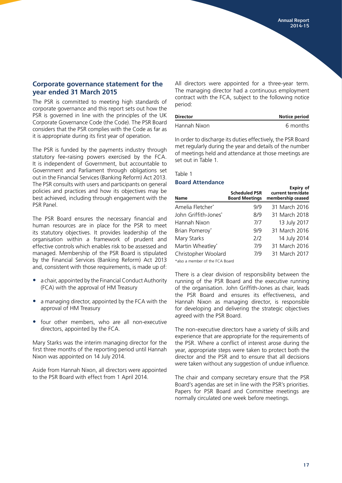## **Corporate governance statement for the year ended 31 March 2015**

The PSR is committed to meeting high standards of corporate governance and this report sets out how the PSR is governed in line with the principles of the UK Corporate Governance Code (the Code). The PSR Board considers that the PSR complies with the Code as far as it is appropriate during its first year of operation.

The PSR is funded by the payments industry through statutory fee-raising powers exercised by the FCA. It is independent of Government, but accountable to Government and Parliament through obligations set out in the Financial Services (Banking Reform) Act 2013. The PSR consults with users and participants on general policies and practices and how its objectives may be best achieved, including through engagement with the PSR Panel.

The PSR Board ensures the necessary financial and human resources are in place for the PSR to meet its statutory objectives. It provides leadership of the organisation within a framework of prudent and effective controls which enables risk to be assessed and managed. Membership of the PSR Board is stipulated by the Financial Services (Banking Reform) Act 2013 and, consistent with those requirements, is made up of:

- a chair, appointed by the Financial Conduct Authority (FCA) with the approval of HM Treasury
- a managing director, appointed by the FCA with the approval of HM Treasury
- four other members, who are all non-executive directors, appointed by the FCA.

Mary Starks was the interim managing director for the first three months of the reporting period until Hannah Nixon was appointed on 14 July 2014.

Aside from Hannah Nixon, all directors were appointed to the PSR Board with effect from 1 April 2014.

All directors were appointed for a three-year term. The managing director had a continuous employment contract with the FCA, subject to the following notice period:

| <b>Director</b> | Notice period |
|-----------------|---------------|
| Hannah Nixon    | 6 months      |

In order to discharge its duties effectively, the PSR Board met regularly during the year and details of the number of meetings held and attendance at those meetings are set out in Table 1.

#### Table 1

#### **Board Attendance**

| <b>Name</b>                     | <b>Scheduled PSR</b><br><b>Board Meetings</b> | Expiry of<br>current term/date<br>membership ceased |
|---------------------------------|-----------------------------------------------|-----------------------------------------------------|
| Amelia Fletcher*                | 9/9                                           | 31 March 2016                                       |
| John Griffith-Jones*            | 8/9                                           | 31 March 2018                                       |
| Hannah Nixon                    | 7/7                                           | 13 July 2017                                        |
| Brian Pomeroy*                  | 9/9                                           | 31 March 2016                                       |
| Mary Starks                     | 2/2                                           | 14 July 2014                                        |
| Martin Wheatley*                | 7/9                                           | 31 March 2016                                       |
| Christopher Woolard             | 7/9                                           | 31 March 2017                                       |
| *also a member of the FCA Board |                                               |                                                     |

There is a clear division of responsibility between the running of the PSR Board and the executive running of the organisation. John Griffith-Jones as chair, leads the PSR Board and ensures its effectiveness, and Hannah Nixon as managing director, is responsible for developing and delivering the strategic objectives agreed with the PSR Board.

The non-executive directors have a variety of skills and experience that are appropriate for the requirements of the PSR. Where a conflict of interest arose during the year, appropriate steps were taken to protect both the director and the PSR and to ensure that all decisions were taken without any suggestion of undue influence.

The chair and company secretary ensure that the PSR Board's agendas are set in line with the PSR's priorities. Papers for PSR Board and Committee meetings are normally circulated one week before meetings.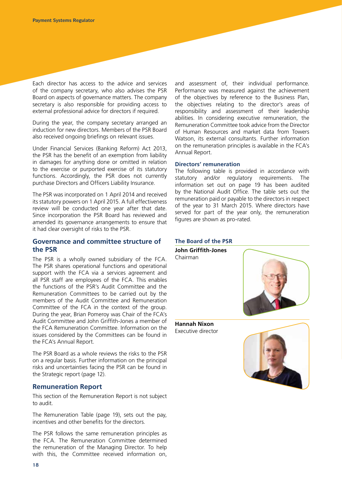Each director has access to the advice and services of the company secretary, who also advises the PSR Board on aspects of governance matters. The company secretary is also responsible for providing access to external professional advice for directors if required.

During the year, the company secretary arranged an induction for new directors. Members of the PSR Board also received ongoing briefings on relevant issues.

Under Financial Services (Banking Reform) Act 2013, the PSR has the benefit of an exemption from liability in damages for anything done or omitted in relation to the exercise or purported exercise of its statutory functions. Accordingly, the PSR does not currently purchase Directors and Officers Liability Insurance.

The PSR was incorporated on 1 April 2014 and received its statutory powers on 1 April 2015. A full effectiveness review will be conducted one year after that date. Since incorporation the PSR Board has reviewed and amended its governance arrangements to ensure that it had clear oversight of risks to the PSR.

### **Governance and committee structure of the PSR**

The PSR is a wholly owned subsidiary of the FCA. The PSR shares operational functions and operational support with the FCA via a services agreement and all PSR staff are employees of the FCA. This enables the functions of the PSR's Audit Committee and the Remuneration Committees to be carried out by the members of the Audit Committee and Remuneration Committee of the FCA in the context of the group. During the year, Brian Pomeroy was Chair of the FCA's Audit Committee and John Griffith-Jones a member of the FCA Remuneration Committee. Information on the issues considered by the Committees can be found in the FCA's Annual Report.

The PSR Board as a whole reviews the risks to the PSR on a regular basis. Further information on the principal risks and uncertainties facing the PSR can be found in the Strategic report (page 12).

#### **Remuneration Report**

This section of the Remuneration Report is not subject to audit.

The Remuneration Table (page 19), sets out the pay, incentives and other benefits for the directors.

The PSR follows the same remuneration principles as the FCA. The Remuneration Committee determined the remuneration of the Managing Director. To help with this, the Committee received information on,

and assessment of, their individual performance. Performance was measured against the achievement of the objectives by reference to the Business Plan, the objectives relating to the director's areas of responsibility and assessment of their leadership abilities. In considering executive remuneration, the Remuneration Committee took advice from the Director of Human Resources and market data from Towers Watson, its external consultants. Further information on the remuneration principles is available in the FCA's Annual Report.

#### **Directors' remuneration**

The following table is provided in accordance with statutory and/or regulatory requirements. The information set out on page 19 has been audited by the National Audit Office. The table sets out the remuneration paid or payable to the directors in respect of the year to 31 March 2015. Where directors have served for part of the year only, the remuneration figures are shown as pro-rated.

#### **The Board of the PSR**

**John Griffith-Jones** Chairman



**Hannah Nixon**  Executive director

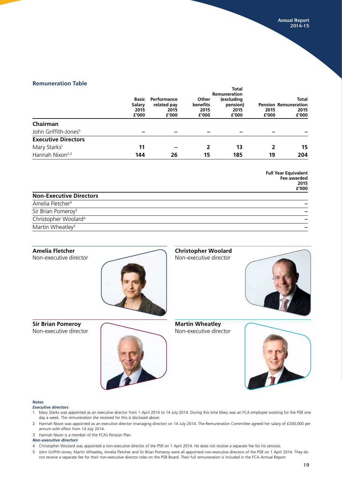## **Remuneration Table** Total

|                                  |                                  |                                             |                                    | 1 v tai<br><b>Remuneration</b>          |               |                                                              |
|----------------------------------|----------------------------------|---------------------------------------------|------------------------------------|-----------------------------------------|---------------|--------------------------------------------------------------|
|                                  | Basic<br>Salary<br>2015<br>£'000 | Performance<br>related pay<br>2015<br>£'000 | Other<br>benefits<br>2015<br>£'000 | (excluding<br>pension)<br>2015<br>£'000 | 2015<br>£'000 | <b>Total</b><br><b>Pension Remuneration</b><br>2015<br>£'000 |
| Chairman                         |                                  |                                             |                                    |                                         |               |                                                              |
| John Griffith-Jones <sup>5</sup> |                                  |                                             |                                    | -                                       |               |                                                              |
| <b>Executive Directors</b>       |                                  |                                             |                                    |                                         |               |                                                              |
| Mary Starks <sup>1</sup>         | 11                               |                                             |                                    | 13                                      |               | 15                                                           |
| Hannah Nixon <sup>2,3</sup>      | 144                              | 26                                          | 15                                 | 185                                     | 19            | 204                                                          |

 **Full Year Equivalent Fee awarded 2015 £'000**

| <b>Non-Executive Directors</b>   |  |
|----------------------------------|--|
| Amelia Fletcher <sup>5</sup>     |  |
| Sir Brian Pomeroy <sup>5</sup>   |  |
| Christopher Woolard <sup>4</sup> |  |
| Martin Wheatley <sup>5</sup>     |  |

#### **Amelia Fletcher**

Non-executive director



## **Christopher Woolard**  Non-executive director



**Sir Brian Pomeroy** Non-executive director



**Martin Wheatley** Non-executive director



#### **Notes**

*Executive directors*

- 1 Mary Starks was appointed as an executive director from 1 April 2014 to 14 July 2014. During this time Mary was an FCA employee working for the PSR one day a week. The remuneration she received for this is disclosed above.
- 2 Hannah Nixon was appointed as an executive director (managing director) on 14 July 2014. The Remuneration Committee agreed her salary of £200,000 per annum with effect from 14 July 2014.
- 3 Hannah Nixon is a member of the FCA's Pension Plan.

#### *Non-executive directors*

- 4 Christopher Woolard was appointed a non-executive director of the PSR on 1 April 2014. He does not receive a separate fee for his services.
- 5 John Griffith-Jones, Martin Wheatley, Amelia Fletcher and Sir Brian Pomeroy were all appointed non-executive directors of the PSR on 1 April 2014. They do not receive a separate fee for their non-executive director roles on the PSR Board. Their full remuneration is included in the FCA Annual Report.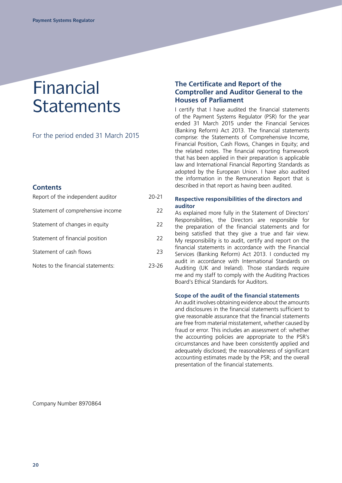# Financial **Statements**

For the period ended 31 March 2015

### **Contents**

| Report of the independent auditor  | 20-21 |
|------------------------------------|-------|
| Statement of comprehensive income  | 22    |
| Statement of changes in equity     | 22    |
| Statement of financial position    | 22    |
| Statement of cash flows            | 23    |
| Notes to the financial statements: | 23-26 |

## **The Certificate and Report of the Comptroller and Auditor General to the Houses of Parliament**

I certify that I have audited the financial statements of the Payment Systems Regulator (PSR) for the year ended 31 March 2015 under the Financial Services (Banking Reform) Act 2013. The financial statements comprise: the Statements of Comprehensive Income, Financial Position, Cash Flows, Changes in Equity; and the related notes. The financial reporting framework that has been applied in their preparation is applicable law and International Financial Reporting Standards as adopted by the European Union. I have also audited the information in the Remuneration Report that is described in that report as having been audited.

#### **Respective responsibilities of the directors and auditor**

As explained more fully in the Statement of Directors' Responsibilities, the Directors are responsible for the preparation of the financial statements and for being satisfied that they give a true and fair view. My responsibility is to audit, certify and report on the financial statements in accordance with the Financial Services (Banking Reform) Act 2013. I conducted my audit in accordance with International Standards on Auditing (UK and Ireland). Those standards require me and my staff to comply with the Auditing Practices Board's Ethical Standards for Auditors.

#### **Scope of the audit of the financial statements**

An audit involves obtaining evidence about the amounts and disclosures in the financial statements sufficient to give reasonable assurance that the financial statements are free from material misstatement, whether caused by fraud or error. This includes an assessment of: whether the accounting policies are appropriate to the PSR's circumstances and have been consistently applied and adequately disclosed; the reasonableness of significant accounting estimates made by the PSR; and the overall presentation of the financial statements.

Company Number 8970864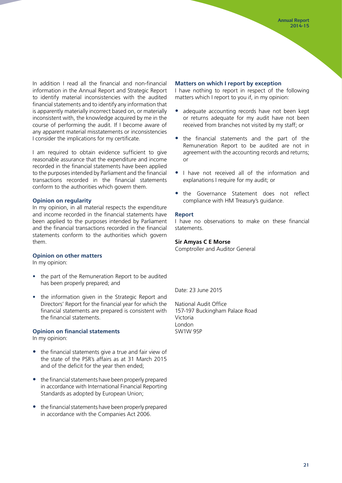In addition I read all the financial and non-financial information in the Annual Report and Strategic Report to identify material inconsistencies with the audited financial statements and to identify any information that is apparently materially incorrect based on, or materially inconsistent with, the knowledge acquired by me in the course of performing the audit. If I become aware of any apparent material misstatements or inconsistencies I consider the implications for my certificate.

I am required to obtain evidence sufficient to give reasonable assurance that the expenditure and income recorded in the financial statements have been applied to the purposes intended by Parliament and the financial transactions recorded in the financial statements conform to the authorities which govern them.

#### **Opinion on regularity**

In my opinion, in all material respects the expenditure and income recorded in the financial statements have been applied to the purposes intended by Parliament and the financial transactions recorded in the financial statements conform to the authorities which govern them.

#### **Opinion on other matters**

In my opinion:

- the part of the Remuneration Report to be audited has been properly prepared; and
- the information given in the Strategic Report and Directors' Report for the financial year for which the financial statements are prepared is consistent with the financial statements.

#### **Opinion on financial statements**

In my opinion:

- the financial statements give a true and fair view of the state of the PSR's affairs as at 31 March 2015 and of the deficit for the year then ended;
- the financial statements have been properly prepared in accordance with International Financial Reporting Standards as adopted by European Union;
- the financial statements have been properly prepared in accordance with the Companies Act 2006.

#### **Matters on which I report by exception**

I have nothing to report in respect of the following matters which I report to you if, in my opinion:

- adequate accounting records have not been kept or returns adequate for my audit have not been received from branches not visited by my staff; or
- the financial statements and the part of the Remuneration Report to be audited are not in agreement with the accounting records and returns; or
- I have not received all of the information and explanations I require for my audit; or
- the Governance Statement does not reflect compliance with HM Treasury's guidance.

#### **Report**

I have no observations to make on these financial statements.

#### **Sir Amyas C E Morse**

Comptroller and Auditor General

Date: 23 June 2015

National Audit Office 157-197 Buckingham Palace Road Victoria London SW1W 9SP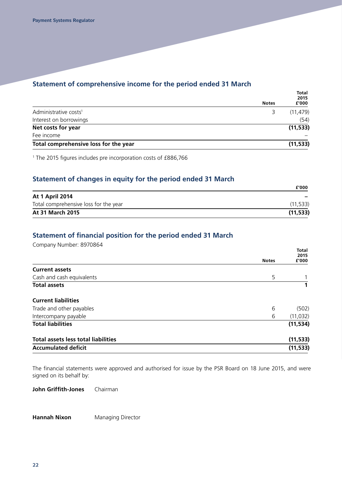## **Statement of comprehensive income for the period ended 31 March**

|                                       | <b>Notes</b> | Total<br>2015<br>£'000 |
|---------------------------------------|--------------|------------------------|
| Administrative costs <sup>1</sup>     | 3            | (11, 479)              |
| Interest on borrowings                |              | (54)                   |
| Net costs for year                    |              | (11, 533)              |
| Fee income                            |              |                        |
| Total comprehensive loss for the year |              | (11, 533)              |
|                                       |              |                        |

1 The 2015 figures includes pre incorporation costs of £886,766

## **Statement of changes in equity for the period ended 31 March**

|                                       | f'000     |
|---------------------------------------|-----------|
| <b>At 1 April 2014</b>                |           |
| Total comprehensive loss for the year | (11, 533) |
| At 31 March 2015                      | (11, 533) |

## **Statement of financial position for the period ended 31 March**

Company Number: 8970864

|                                            | <b>Notes</b> | <b>Total</b><br>2015<br>f'000 |
|--------------------------------------------|--------------|-------------------------------|
| <b>Current assets</b>                      |              |                               |
| Cash and cash equivalents                  | 5            |                               |
| <b>Total assets</b>                        |              |                               |
| <b>Current liabilities</b>                 |              |                               |
| Trade and other payables                   | 6            | (502)                         |
| Intercompany payable                       | 6            | (11, 032)                     |
| <b>Total liabilities</b>                   |              | (11, 534)                     |
| <b>Total assets less total liabilities</b> |              | (11, 533)                     |
| <b>Accumulated deficit</b>                 |              | (11, 533)                     |

The financial statements were approved and authorised for issue by the PSR Board on 18 June 2015, and were signed on its behalf by:

**John Griffith-Jones** Chairman

**Hannah Nixon** Managing Director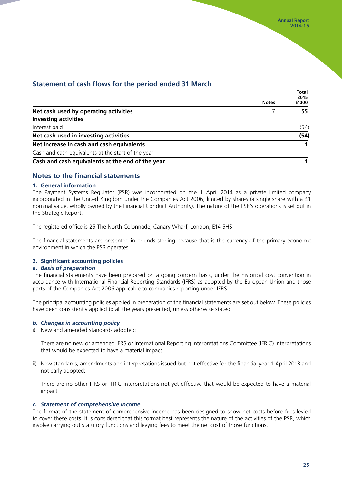## **Statement of cash flows for the period ended 31 March**

|                                                    | <b>Notes</b> | <b>Total</b><br>2015<br>£'000 |
|----------------------------------------------------|--------------|-------------------------------|
| Net cash used by operating activities              |              | 55                            |
| <b>Investing activities</b>                        |              |                               |
| Interest paid                                      |              | (54)                          |
| Net cash used in investing activities              |              | (54)                          |
| Net increase in cash and cash equivalents          |              |                               |
| Cash and cash equivalents at the start of the year |              |                               |
| Cash and cash equivalents at the end of the year   |              |                               |

## **Notes to the financial statements**

#### **1. General information**

The Payment Systems Regulator (PSR) was incorporated on the 1 April 2014 as a private limited company incorporated in the United Kingdom under the Companies Act 2006, limited by shares (a single share with a £1 nominal value, wholly owned by the Financial Conduct Authority). The nature of the PSR's operations is set out in the Strategic Report.

The registered office is 25 The North Colonnade, Canary Wharf, London, E14 5HS.

The financial statements are presented in pounds sterling because that is the currency of the primary economic environment in which the PSR operates.

#### **2. Significant accounting policies**

#### *a. Basis of preparation*

The financial statements have been prepared on a going concern basis, under the historical cost convention in accordance with International Financial Reporting Standards (IFRS) as adopted by the European Union and those parts of the Companies Act 2006 applicable to companies reporting under IFRS.

The principal accounting policies applied in preparation of the financial statements are set out below. These policies have been consistently applied to all the years presented, unless otherwise stated.

#### *b. Changes in accounting policy*

i) New and amended standards adopted:

There are no new or amended IFRS or International Reporting Interpretations Committee (IFRIC) interpretations that would be expected to have a material impact.

ii) New standards, amendments and interpretations issued but not effective for the financial year 1 April 2013 and not early adopted:

There are no other IFRS or IFRIC interpretations not yet effective that would be expected to have a material impact.

#### *c. Statement of comprehensive income*

The format of the statement of comprehensive income has been designed to show net costs before fees levied to cover these costs. It is considered that this format best represents the nature of the activities of the PSR, which involve carrying out statutory functions and levying fees to meet the net cost of those functions.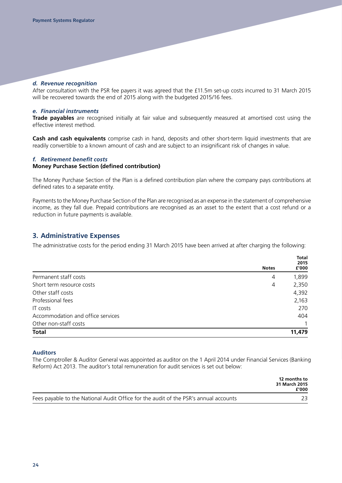#### *d. Revenue recognition*

After consultation with the PSR fee payers it was agreed that the £11.5m set-up costs incurred to 31 March 2015 will be recovered towards the end of 2015 along with the budgeted 2015/16 fees.

#### *e. Financial instruments*

**Trade payables** are recognised initially at fair value and subsequently measured at amortised cost using the effective interest method.

**Cash and cash equivalents** comprise cash in hand, deposits and other short-term liquid investments that are readily convertible to a known amount of cash and are subject to an insignificant risk of changes in value.

#### *f. Retirement benefit costs*

#### **Money Purchase Section (defined contribution)**

The Money Purchase Section of the Plan is a defined contribution plan where the company pays contributions at defined rates to a separate entity.

Payments to the Money Purchase Section of the Plan are recognised as an expense in the statement of comprehensive income, as they fall due. Prepaid contributions are recognised as an asset to the extent that a cost refund or a reduction in future payments is available.

#### **3. Administrative Expenses**

The administrative costs for the period ending 31 March 2015 have been arrived at after charging the following:

|                                   | <b>Notes</b> | <b>Total</b><br>2015<br>£'000 |
|-----------------------------------|--------------|-------------------------------|
| Permanent staff costs             | 4            | 1,899                         |
| Short term resource costs         | 4            | 2,350                         |
| Other staff costs                 |              | 4,392                         |
| Professional fees                 |              | 2,163                         |
| IT costs                          |              | 270                           |
| Accommodation and office services |              | 404                           |
| Other non-staff costs             |              |                               |
| <b>Total</b>                      |              | 11,479                        |

#### **Auditors**

The Comptroller & Auditor General was appointed as auditor on the 1 April 2014 under Financial Services (Banking Reform) Act 2013. The auditor's total remuneration for audit services is set out below:

|                                                                                      | 12 months to<br>31 March 2015<br>£'000 |
|--------------------------------------------------------------------------------------|----------------------------------------|
| Fees payable to the National Audit Office for the audit of the PSR's annual accounts |                                        |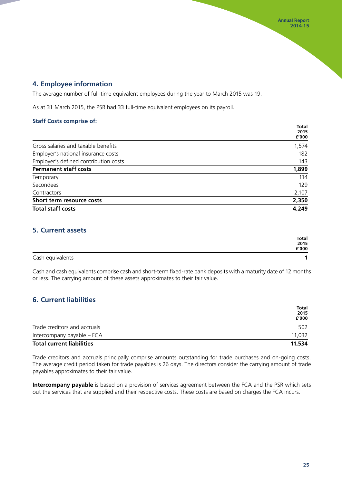## **4. Employee information**

The average number of full-time equivalent employees during the year to March 2015 was 19.

As at 31 March 2015, the PSR had 33 full-time equivalent employees on its payroll.

## **Staff Costs comprise of:** Total

|                                       | 2015<br>£'000 |
|---------------------------------------|---------------|
| Gross salaries and taxable benefits   | 1,574         |
| Employer's national insurance costs   | 182           |
| Employer's defined contribution costs | 143           |
| <b>Permanent staff costs</b>          | 1,899         |
| Temporary                             | 114           |
| Secondees                             | 129           |
| Contractors                           | 2,107         |
| Short term resource costs             | 2,350         |
| <b>Total staff costs</b>              | 4,249         |

## **5. Current assets**

|                  | Total<br>2015<br>£'000 |
|------------------|------------------------|
| Cash equivalents |                        |

Cash and cash equivalents comprise cash and short-term fixed-rate bank deposits with a maturity date of 12 months or less. The carrying amount of these assets approximates to their fair value.

## **6. Current liabilities**

|                                  | Total<br>2015<br>f'000 |
|----------------------------------|------------------------|
| Trade creditors and accruals     | 502                    |
| Intercompany payable - FCA       | 11.032                 |
| <b>Total current liabilities</b> | 11,534                 |

Trade creditors and accruals principally comprise amounts outstanding for trade purchases and on-going costs. The average credit period taken for trade payables is 26 days. The directors consider the carrying amount of trade payables approximates to their fair value.

**Intercompany payable** is based on a provision of services agreement between the FCA and the PSR which sets out the services that are supplied and their respective costs. These costs are based on charges the FCA incurs.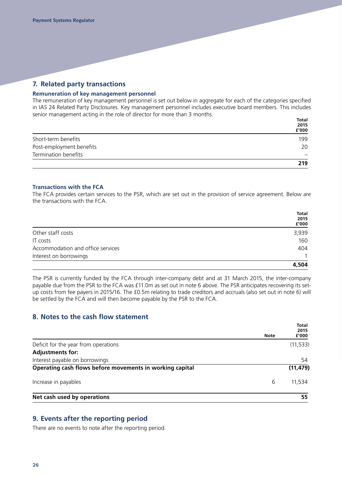## **7. Related party transactions**

#### **Remuneration of key management personnel**

The remuneration of key management personnel is set out below in aggregate for each of the categories specified in IAS 24 Related Party Disclosures. Key management personnel includes executive board members. This includes senior management acting in the role of director for more than 3 months.

|                          | Total<br>2015<br>£'000 |
|--------------------------|------------------------|
| Short-term benefits      | 199                    |
| Post-employment benefits | 20                     |
| Termination benefits     |                        |
|                          | 219                    |

#### **Transactions with the FCA**

The FCA provides certain services to the PSR, which are set out in the provision of service agreement. Below are the transactions with the FCA.

|                                   | <b>Total</b><br>2015<br>£'000 |
|-----------------------------------|-------------------------------|
| Other staff costs                 | 3,939                         |
| IT costs                          | 160                           |
| Accommodation and office services | 404                           |
| Interest on borrowings            |                               |
|                                   | 4,504                         |

The PSR is currently funded by the FCA through inter-company debt and at 31 March 2015, the inter-company payable due from the PSR to the FCA was £11.0m as set out in note 6 above. The PSR anticipates recovering its setup costs from fee payers in 2015/16. The £0.5m relating to trade creditors and accruals (also set out in note 6) will be settled by the FCA and will then become payable by the PSR to the FCA.

## **8. Notes to the cash flow statement**

|                                                          | <b>Note</b> | <b>Total</b><br>2015<br>£'000 |
|----------------------------------------------------------|-------------|-------------------------------|
| Deficit for the year from operations                     |             | (11, 533)                     |
| <b>Adjustments for:</b>                                  |             |                               |
| Interest payable on borrowings                           |             | 54                            |
| Operating cash flows before movements in working capital |             | (11, 479)                     |
| Increase in payables                                     | 6           | 11,534                        |
| Net cash used by operations                              |             | 55                            |

### **9. Events after the reporting period**

There are no events to note after the reporting period.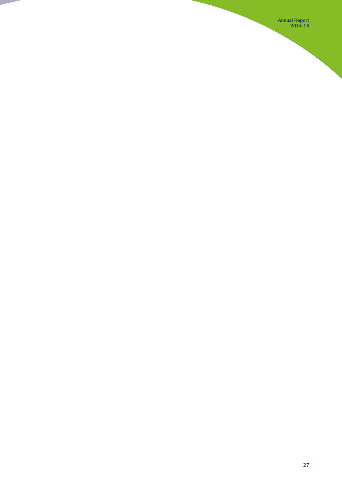**Annual Report 2014-15**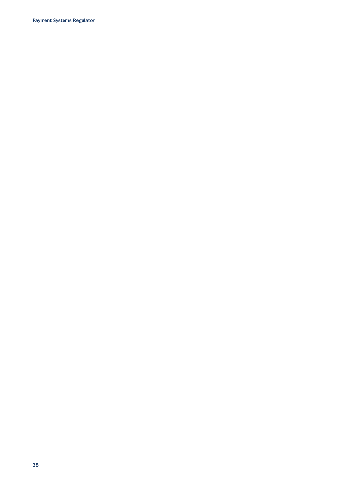**Payment Systems Regulator**